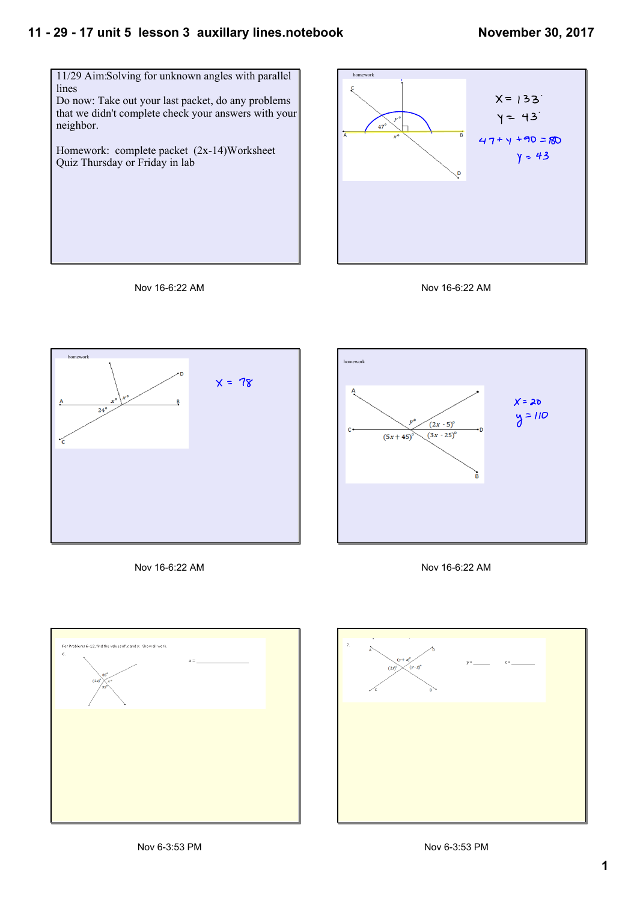## **11 29 17 unit 5 lesson 3 auxillary lines.notebook**











Nov 16-6:22 AM





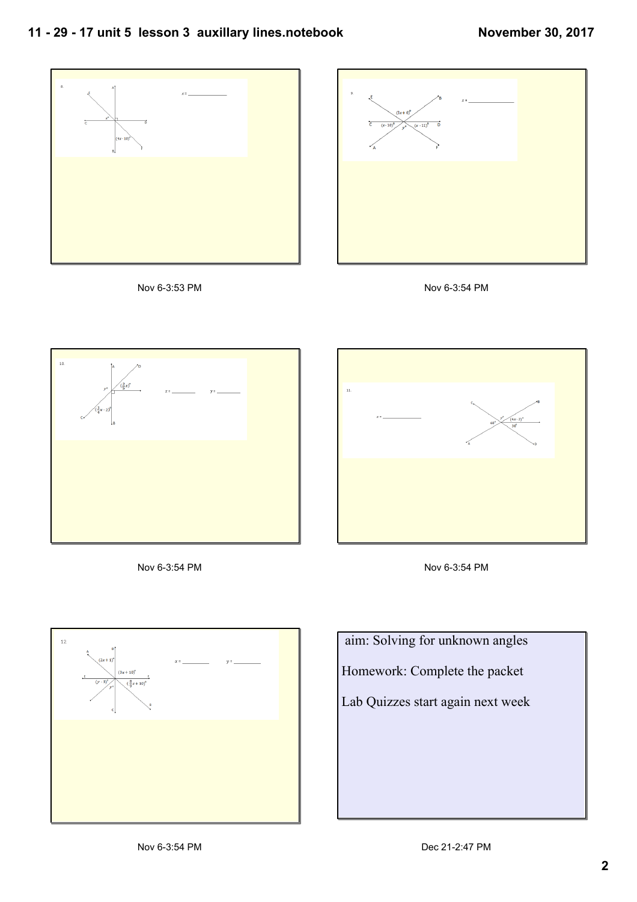## **11 29 17 unit 5 lesson 3 auxillary lines.notebook**

















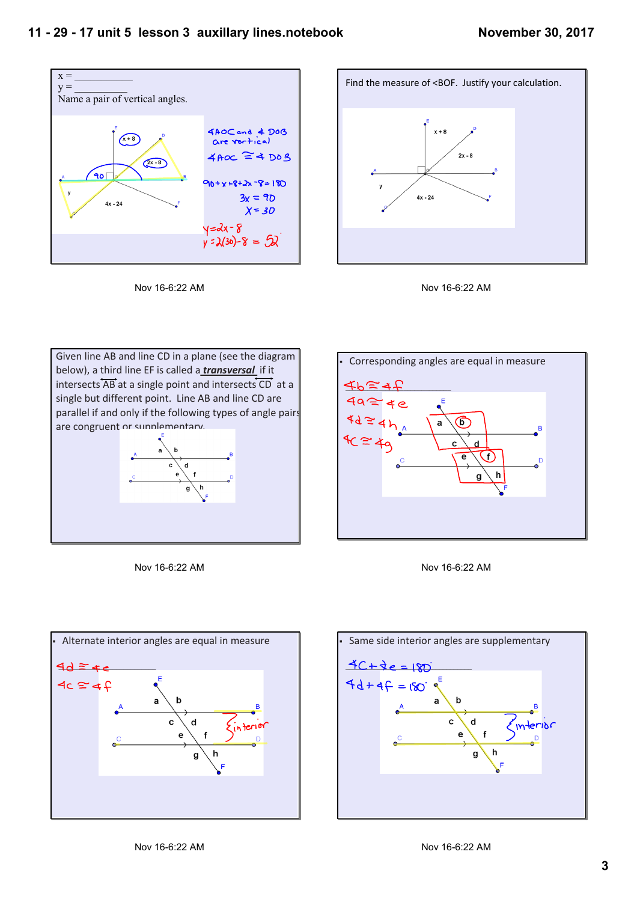







Given line AB and line CD in a plane (see the diagram below), a third line EF is called a *transversal*  if it intersects AB at a single point and intersects CD at a single but different point. Line AB and line CD are parallel if and only if the following types of angle pairs are congruent or sunnlementary.



Nov 16-6:22 AM







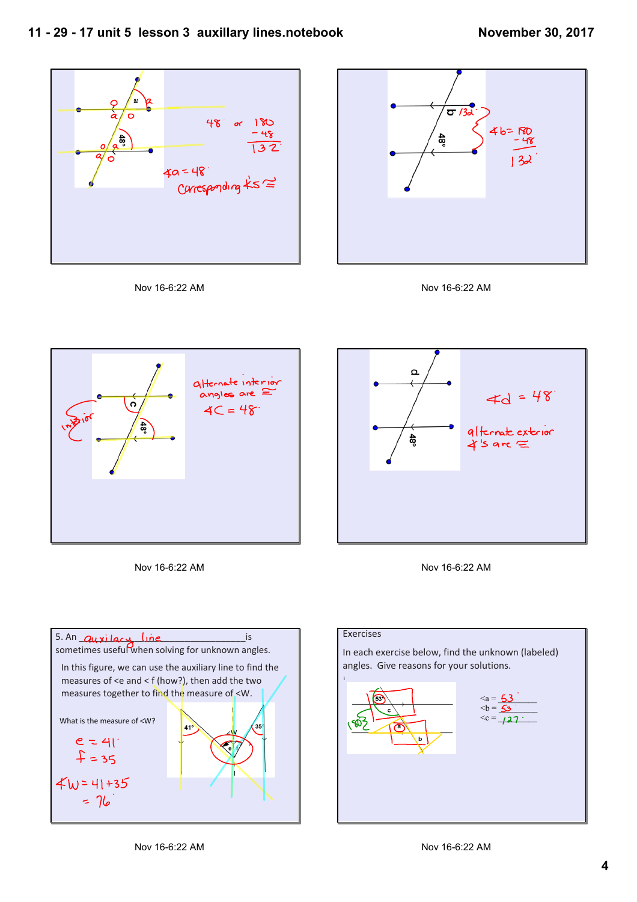















## In each exercise below, find the unknown (labeled) angles. Give reasons for your solutions.

**Exercises** 

 $\langle a = \frac{53}{\sqrt{2}} \rangle$  $\lt c = 127$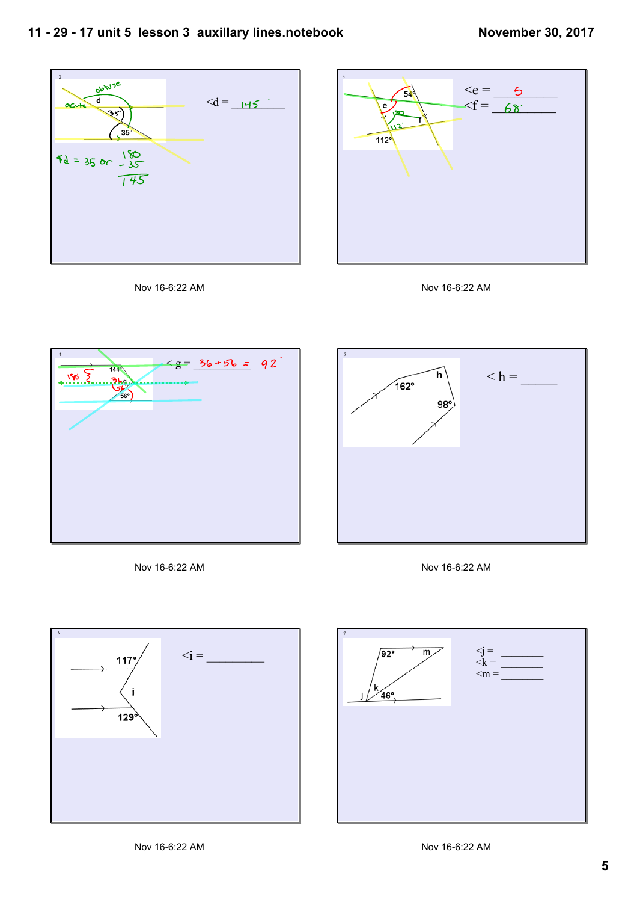



Nov 16-6:22 AM





Nov 16-6:22 AM



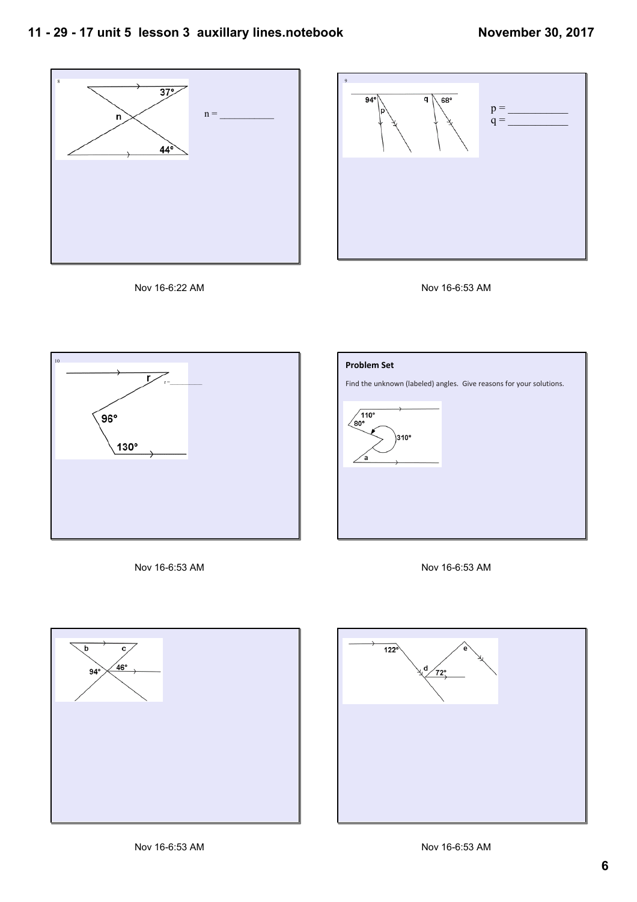









Nov 16-6:53 AM